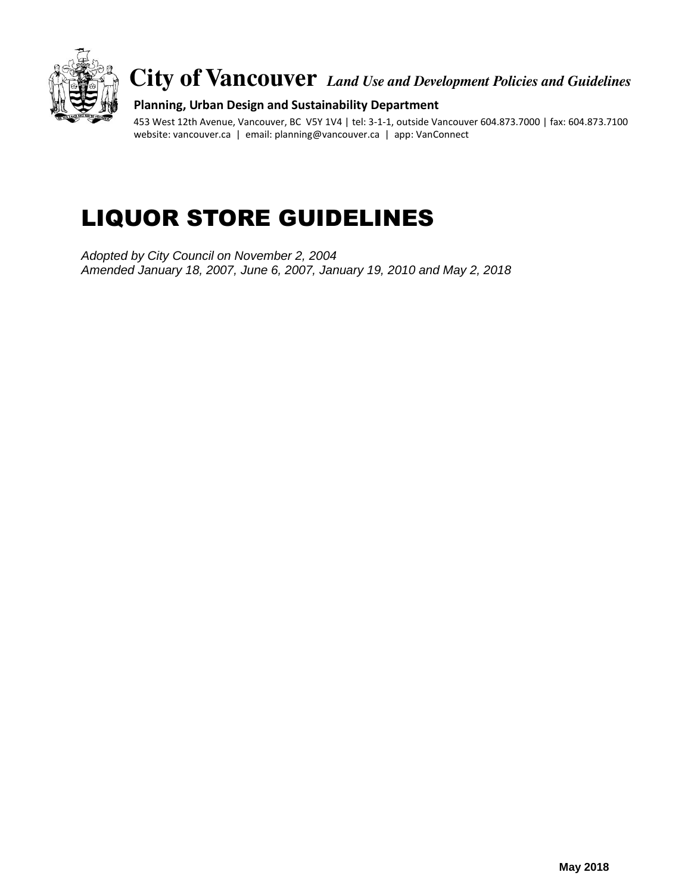

**City of Vancouver** *Land Use and Development Policies and Guidelines*

### **Planning, Urban Design and Sustainability Department**

453 West 12th Avenue, Vancouver, BC V5Y 1V4 | tel: 3-1-1, outside Vancouver 604.873.7000 | fax: 604.873.7100 website: vancouver.ca | email: planning@vancouver.ca | app: VanConnect

# LIQUOR STORE GUIDELINES

*Adopted by City Council on November 2, 2004 Amended January 18, 2007, June 6, 2007, January 19, 2010 and May 2, 2018*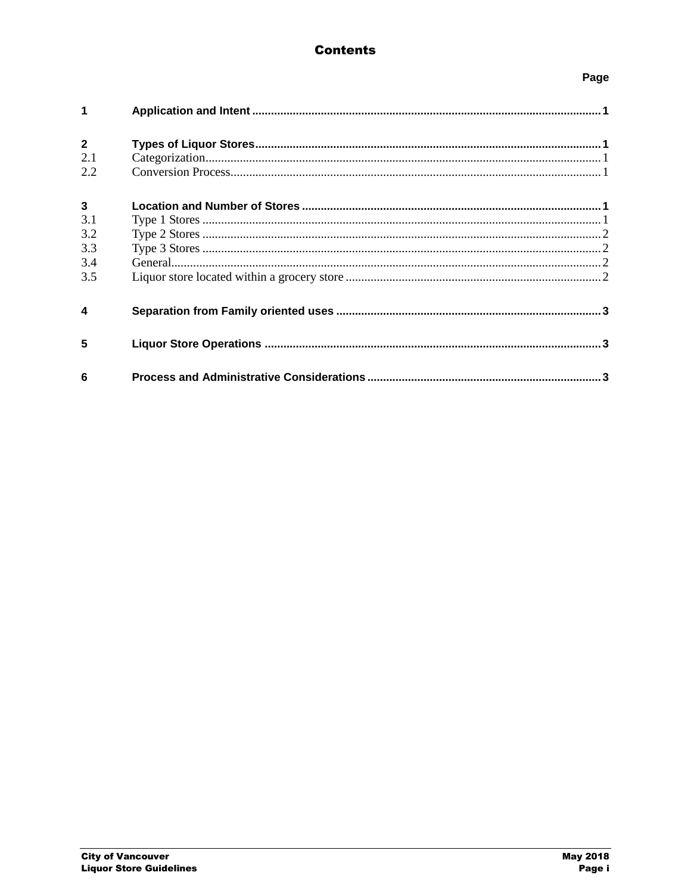## **Contents**

## Page

| 1                                        |  |
|------------------------------------------|--|
| $\overline{2}$<br>2.1<br>2.2             |  |
| $\mathbf{3}$<br>3.1<br>3.2<br>3.3<br>3.4 |  |
| 3.5                                      |  |
| 4                                        |  |
| 5                                        |  |
| 6                                        |  |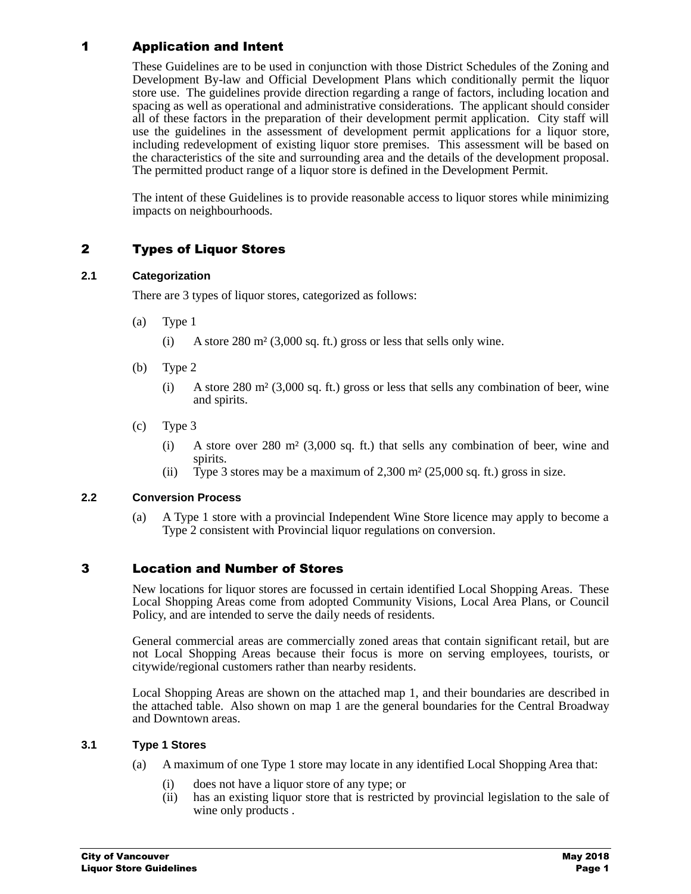## 1 Application and Intent

These Guidelines are to be used in conjunction with those District Schedules of the Zoning and Development By-law and Official Development Plans which conditionally permit the liquor store use. The guidelines provide direction regarding a range of factors, including location and spacing as well as operational and administrative considerations. The applicant should consider all of these factors in the preparation of their development permit application. City staff will use the guidelines in the assessment of development permit applications for a liquor store, including redevelopment of existing liquor store premises. This assessment will be based on the characteristics of the site and surrounding area and the details of the development proposal. The permitted product range of a liquor store is defined in the Development Permit.

The intent of these Guidelines is to provide reasonable access to liquor stores while minimizing impacts on neighbourhoods.

## 2 Types of Liquor Stores

#### **2.1 Categorization**

There are 3 types of liquor stores, categorized as follows:

- (a) Type 1
	- (i) A store 280 m² (3,000 sq. ft.) gross or less that sells only wine.
- (b) Type 2
	- (i) A store 280 m² (3,000 sq. ft.) gross or less that sells any combination of beer, wine and spirits.
- (c) Type 3
	- (i) A store over 280 m² (3,000 sq. ft.) that sells any combination of beer, wine and spirits.
	- (ii) Type 3 stores may be a maximum of  $2,300$  m<sup>2</sup> ( $25,000$  sq. ft.) gross in size.

### **2.2 Conversion Process**

(a) A Type 1 store with a provincial Independent Wine Store licence may apply to become a Type 2 consistent with Provincial liquor regulations on conversion.

## 3 Location and Number of Stores

New locations for liquor stores are focussed in certain identified Local Shopping Areas. These Local Shopping Areas come from adopted Community Visions, Local Area Plans, or Council Policy, and are intended to serve the daily needs of residents.

General commercial areas are commercially zoned areas that contain significant retail, but are not Local Shopping Areas because their focus is more on serving employees, tourists, or citywide/regional customers rather than nearby residents.

Local Shopping Areas are shown on the attached map 1, and their boundaries are described in the attached table. Also shown on map 1 are the general boundaries for the Central Broadway and Downtown areas.

#### **3.1 Type 1 Stores**

- (a) A maximum of one Type 1 store may locate in any identified Local Shopping Area that:
	- (i) does not have a liquor store of any type; or
	- (ii) has an existing liquor store that is restricted by provincial legislation to the sale of wine only products .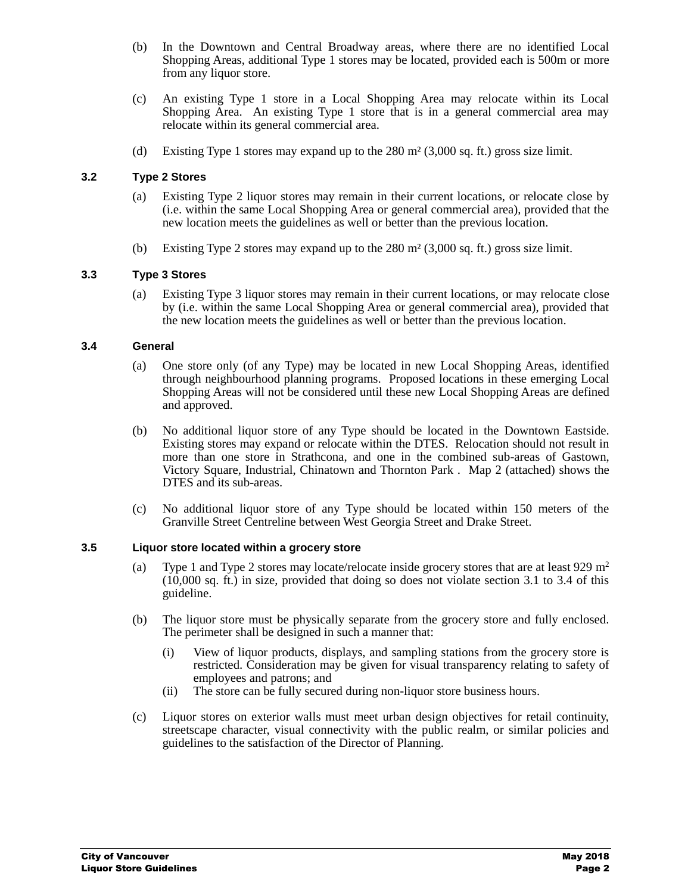- (b) In the Downtown and Central Broadway areas, where there are no identified Local Shopping Areas, additional Type 1 stores may be located, provided each is 500m or more from any liquor store.
- (c) An existing Type 1 store in a Local Shopping Area may relocate within its Local Shopping Area. An existing Type 1 store that is in a general commercial area may relocate within its general commercial area.
- (d) Existing Type 1 stores may expand up to the  $280 \text{ m}^2$  (3,000 sq. ft.) gross size limit.

#### **3.2 Type 2 Stores**

- (a) Existing Type 2 liquor stores may remain in their current locations, or relocate close by (i.e. within the same Local Shopping Area or general commercial area), provided that the new location meets the guidelines as well or better than the previous location.
- (b) Existing Type 2 stores may expand up to the 280 m² (3,000 sq. ft.) gross size limit.

#### **3.3 Type 3 Stores**

(a) Existing Type 3 liquor stores may remain in their current locations, or may relocate close by (i.e. within the same Local Shopping Area or general commercial area), provided that the new location meets the guidelines as well or better than the previous location.

#### **3.4 General**

- (a) One store only (of any Type) may be located in new Local Shopping Areas, identified through neighbourhood planning programs. Proposed locations in these emerging Local Shopping Areas will not be considered until these new Local Shopping Areas are defined and approved.
- (b) No additional liquor store of any Type should be located in the Downtown Eastside. Existing stores may expand or relocate within the DTES. Relocation should not result in more than one store in Strathcona, and one in the combined sub-areas of Gastown, Victory Square, Industrial, Chinatown and Thornton Park . Map 2 (attached) shows the DTES and its sub-areas.
- (c) No additional liquor store of any Type should be located within 150 meters of the Granville Street Centreline between West Georgia Street and Drake Street.

#### **3.5 Liquor store located within a grocery store**

- (a) Type 1 and Type 2 stores may locate/relocate inside grocery stores that are at least 929 m<sup>2</sup>  $(10,000 \text{ sq. ft.})$  in size, provided that doing so does not violate section 3.1 to 3.4 of this guideline.
- (b) The liquor store must be physically separate from the grocery store and fully enclosed. The perimeter shall be designed in such a manner that:
	- (i) View of liquor products, displays, and sampling stations from the grocery store is restricted. Consideration may be given for visual transparency relating to safety of employees and patrons; and
	- (ii) The store can be fully secured during non-liquor store business hours.
- (c) Liquor stores on exterior walls must meet urban design objectives for retail continuity, streetscape character, visual connectivity with the public realm, or similar policies and guidelines to the satisfaction of the Director of Planning.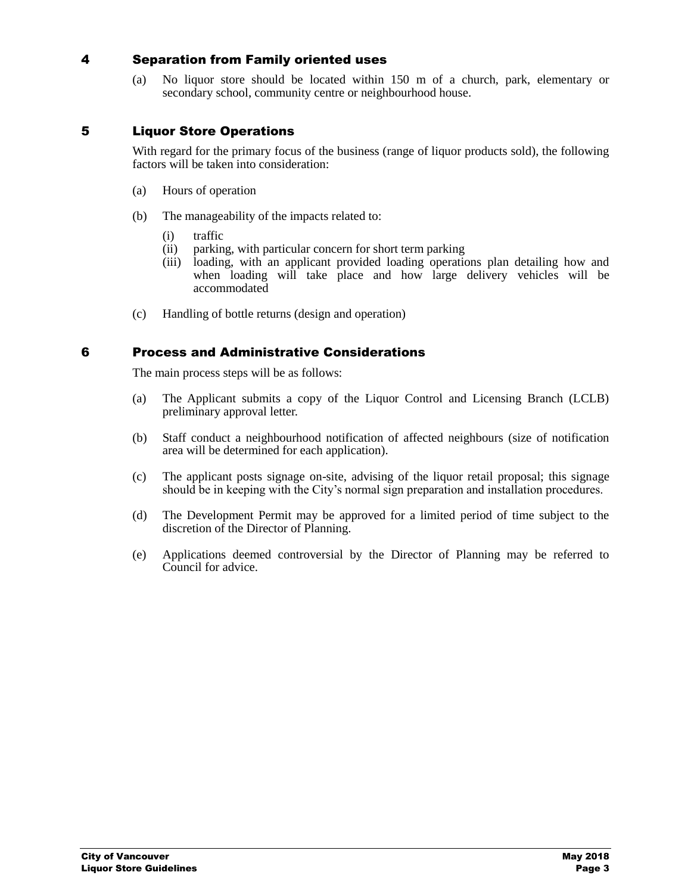## 4 Separation from Family oriented uses

(a) No liquor store should be located within 150 m of a church, park, elementary or secondary school, community centre or neighbourhood house.

## 5 Liquor Store Operations

With regard for the primary focus of the business (range of liquor products sold), the following factors will be taken into consideration:

- (a) Hours of operation
- (b) The manageability of the impacts related to:
	- (i) traffic
	- (ii) parking, with particular concern for short term parking
	- (iii) loading, with an applicant provided loading operations plan detailing how and when loading will take place and how large delivery vehicles will be accommodated
- (c) Handling of bottle returns (design and operation)

## 6 Process and Administrative Considerations

The main process steps will be as follows:

- (a) The Applicant submits a copy of the Liquor Control and Licensing Branch (LCLB) preliminary approval letter.
- (b) Staff conduct a neighbourhood notification of affected neighbours (size of notification area will be determined for each application).
- (c) The applicant posts signage on-site, advising of the liquor retail proposal; this signage should be in keeping with the City's normal sign preparation and installation procedures.
- (d) The Development Permit may be approved for a limited period of time subject to the discretion of the Director of Planning.
- (e) Applications deemed controversial by the Director of Planning may be referred to Council for advice.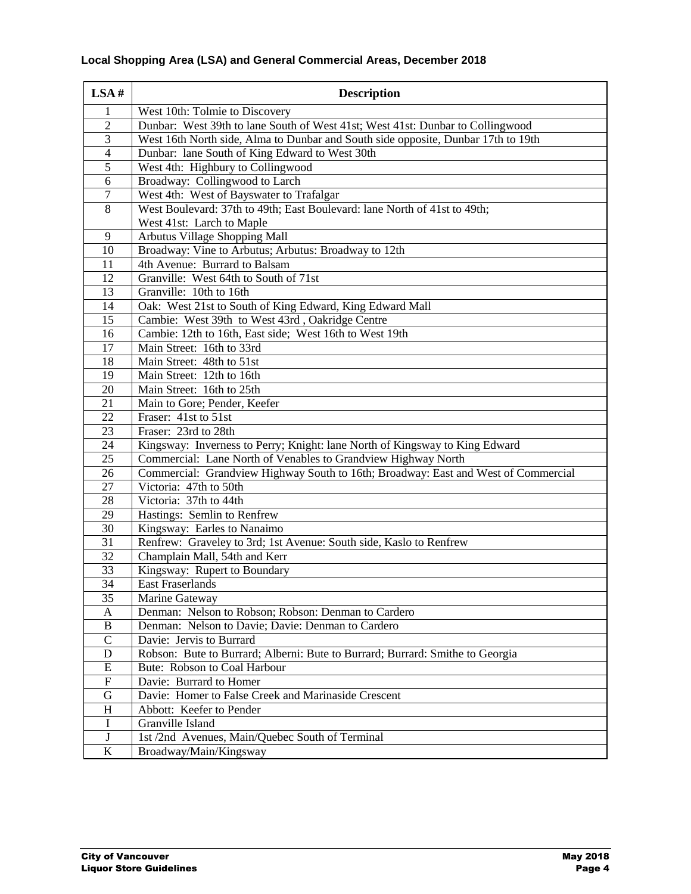| LSA#           | <b>Description</b>                                                                                           |
|----------------|--------------------------------------------------------------------------------------------------------------|
| $\mathbf{1}$   | West 10th: Tolmie to Discovery                                                                               |
| $\sqrt{2}$     | Dunbar: West 39th to lane South of West 41st; West 41st: Dunbar to Collingwood                               |
| 3              | West 16th North side, Alma to Dunbar and South side opposite, Dunbar 17th to 19th                            |
| $\overline{4}$ | Dunbar: lane South of King Edward to West 30th                                                               |
| $\overline{5}$ | West 4th: Highbury to Collingwood                                                                            |
| 6              | Broadway: Collingwood to Larch                                                                               |
| $\overline{7}$ | West 4th: West of Bayswater to Trafalgar                                                                     |
| $\overline{8}$ | West Boulevard: 37th to 49th; East Boulevard: lane North of 41st to 49th;                                    |
|                | West 41st: Larch to Maple                                                                                    |
| 9              | Arbutus Village Shopping Mall                                                                                |
| 10             | Broadway: Vine to Arbutus; Arbutus: Broadway to 12th                                                         |
| 11             | 4th Avenue: Burrard to Balsam                                                                                |
| 12             | Granville: West 64th to South of 71st                                                                        |
| 13             | Granville: 10th to 16th                                                                                      |
| 14             | Oak: West 21st to South of King Edward, King Edward Mall                                                     |
| 15             | Cambie: West 39th to West 43rd, Oakridge Centre                                                              |
| 16             | Cambie: 12th to 16th, East side; West 16th to West 19th                                                      |
| 17             | Main Street: 16th to 33rd                                                                                    |
| 18             | Main Street: 48th to 51st                                                                                    |
| 19             | Main Street: 12th to 16th                                                                                    |
| 20             | Main Street: 16th to 25th                                                                                    |
| 21             | Main to Gore; Pender, Keefer                                                                                 |
| 22             | Fraser: 41st to 51st                                                                                         |
| 23<br>24       | Fraser: 23rd to 28th                                                                                         |
| 25             | Kingsway: Inverness to Perry; Knight: lane North of Kingsway to King Edward                                  |
| 26             | Commercial: Lane North of Venables to Grandview Highway North                                                |
| 27             | Commercial: Grandview Highway South to 16th; Broadway: East and West of Commercial<br>Victoria: 47th to 50th |
| 28             | Victoria: 37th to 44th                                                                                       |
| 29             | Hastings: Semlin to Renfrew                                                                                  |
| 30             | Kingsway: Earles to Nanaimo                                                                                  |
| 31             | Renfrew: Graveley to 3rd; 1st Avenue: South side, Kaslo to Renfrew                                           |
| 32             | Champlain Mall, 54th and Kerr                                                                                |
| 33             | Kingsway: Rupert to Boundary                                                                                 |
| 34             | <b>East Fraserlands</b>                                                                                      |
| 35             | Marine Gateway                                                                                               |
| $\mathbf A$    | Denman: Nelson to Robson; Robson: Denman to Cardero                                                          |
| $\, {\bf B}$   | Denman: Nelson to Davie; Davie: Denman to Cardero                                                            |
| $\mathbf C$    | Davie: Jervis to Burrard                                                                                     |
| $\mathbf D$    | Robson: Bute to Burrard; Alberni: Bute to Burrard; Burrard: Smithe to Georgia                                |
| ${\bf E}$      | Bute: Robson to Coal Harbour                                                                                 |
| ${\bf F}$      | Davie: Burrard to Homer                                                                                      |
| $\mathbf G$    | Davie: Homer to False Creek and Marinaside Crescent                                                          |
| $H_{\rm}$      | Abbott: Keefer to Pender                                                                                     |
| I              | Granville Island                                                                                             |
| $\bf J$        | 1st /2nd Avenues, Main/Quebec South of Terminal                                                              |
| K              | Broadway/Main/Kingsway                                                                                       |

## **Local Shopping Area (LSA) and General Commercial Areas, December 2018**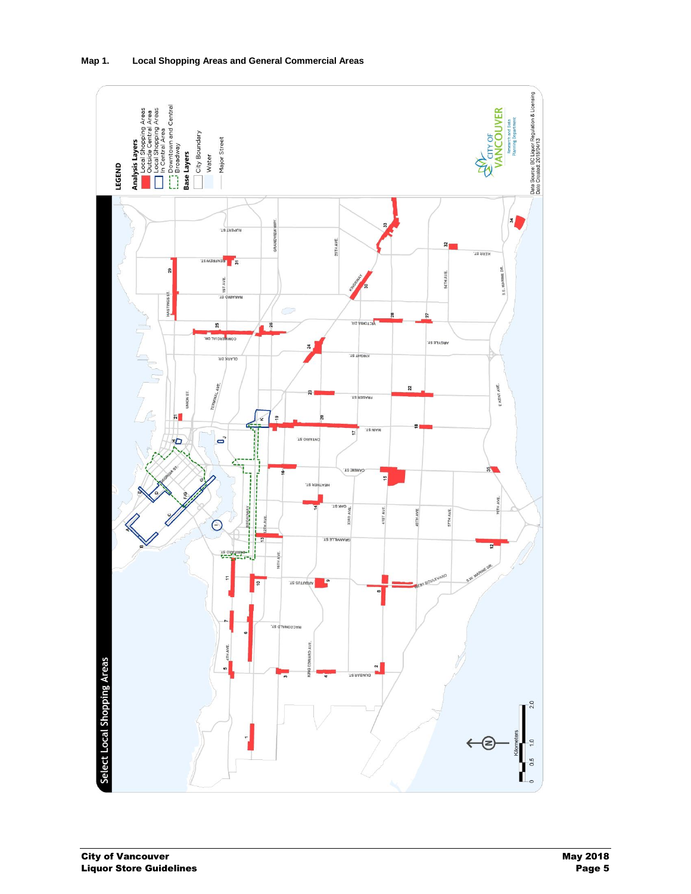